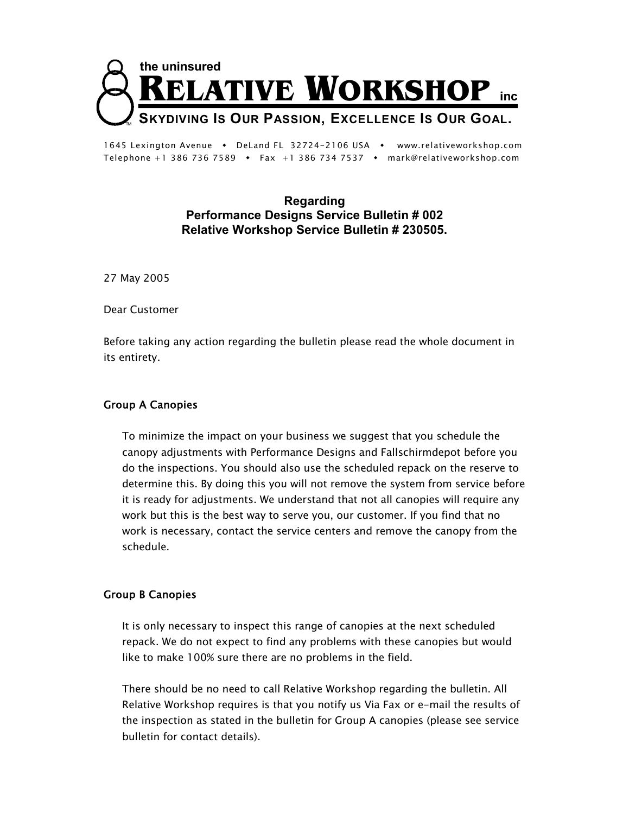

1645 Lexington Avenue • DeLand FL 32724-2106 USA • www.relativeworkshop.com Telephone +1 386 736 7589 • Fax +1 386 734 7537 • mark@relativeworkshop.com

## **Regarding Performance Designs Service Bulletin # 002 Relative Workshop Service Bulletin # 230505.**

27 May 2005

Dear Customer

Before taking any action regarding the bulletin please read the whole document in its entirety.

## Group A Canopies

To minimize the impact on your business we suggest that you schedule the canopy adjustments with Performance Designs and Fallschirmdepot before you do the inspections. You should also use the scheduled repack on the reserve to determine this. By doing this you will not remove the system from service before it is ready for adjustments. We understand that not all canopies will require any work but this is the best way to serve you, our customer. If you find that no work is necessary, contact the service centers and remove the canopy from the schedule.

## Group B Canopies

It is only necessary to inspect this range of canopies at the next scheduled repack. We do not expect to find any problems with these canopies but would like to make 100% sure there are no problems in the field.

There should be no need to call Relative Workshop regarding the bulletin. All Relative Workshop requires is that you notify us Via Fax or e-mail the results of the inspection as stated in the bulletin for Group A canopies (please see service bulletin for contact details).